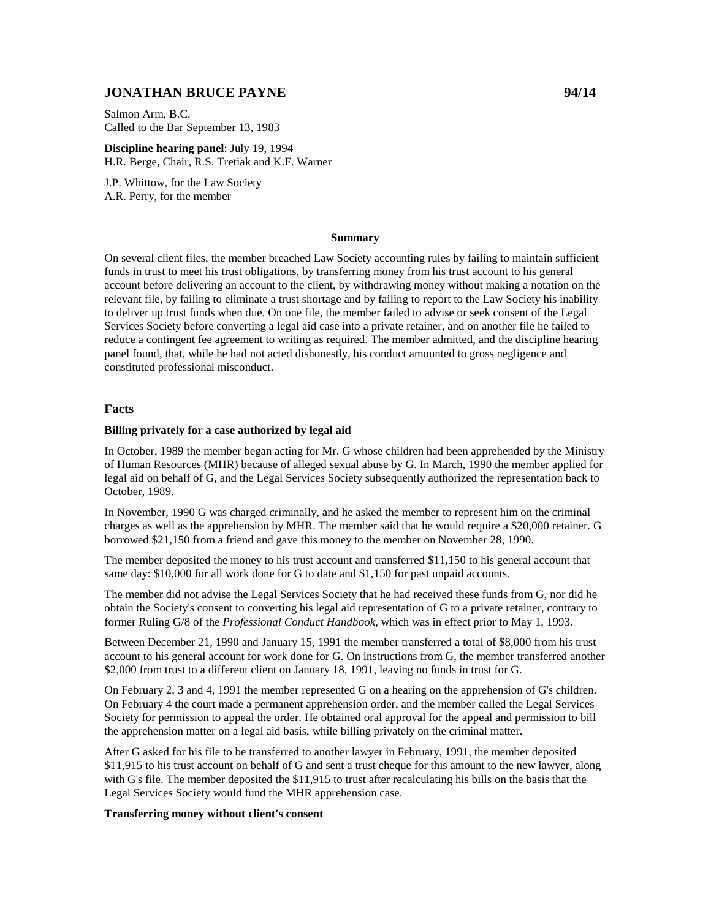# **JONATHAN BRUCE PAYNE 94/14**

Salmon Arm, B.C. Called to the Bar September 13, 1983

**Discipline hearing panel**: July 19, 1994 H.R. Berge, Chair, R.S. Tretiak and K.F. Warner

J.P. Whittow, for the Law Society A.R. Perry, for the member

#### **Summary**

On several client files, the member breached Law Society accounting rules by failing to maintain sufficient funds in trust to meet his trust obligations, by transferring money from his trust account to his general account before delivering an account to the client, by withdrawing money without making a notation on the relevant file, by failing to eliminate a trust shortage and by failing to report to the Law Society his inability to deliver up trust funds when due. On one file, the member failed to advise or seek consent of the Legal Services Society before converting a legal aid case into a private retainer, and on another file he failed to reduce a contingent fee agreement to writing as required. The member admitted, and the discipline hearing panel found, that, while he had not acted dishonestly, his conduct amounted to gross negligence and constituted professional misconduct.

#### **Facts**

#### **Billing privately for a case authorized by legal aid**

In October, 1989 the member began acting for Mr. G whose children had been apprehended by the Ministry of Human Resources (MHR) because of alleged sexual abuse by G. In March, 1990 the member applied for legal aid on behalf of G, and the Legal Services Society subsequently authorized the representation back to October, 1989.

In November, 1990 G was charged criminally, and he asked the member to represent him on the criminal charges as well as the apprehension by MHR. The member said that he would require a \$20,000 retainer. G borrowed \$21,150 from a friend and gave this money to the member on November 28, 1990.

The member deposited the money to his trust account and transferred \$11,150 to his general account that same day: \$10,000 for all work done for G to date and \$1,150 for past unpaid accounts.

The member did not advise the Legal Services Society that he had received these funds from G, nor did he obtain the Society's consent to converting his legal aid representation of G to a private retainer, contrary to former Ruling G/8 of the *Professional Conduct Handbook*, which was in effect prior to May 1, 1993.

Between December 21, 1990 and January 15, 1991 the member transferred a total of \$8,000 from his trust account to his general account for work done for G. On instructions from G, the member transferred another \$2,000 from trust to a different client on January 18, 1991, leaving no funds in trust for G.

On February 2, 3 and 4, 1991 the member represented G on a hearing on the apprehension of G's children. On February 4 the court made a permanent apprehension order, and the member called the Legal Services Society for permission to appeal the order. He obtained oral approval for the appeal and permission to bill the apprehension matter on a legal aid basis, while billing privately on the criminal matter.

After G asked for his file to be transferred to another lawyer in February, 1991, the member deposited \$11,915 to his trust account on behalf of G and sent a trust cheque for this amount to the new lawyer, along with G's file. The member deposited the \$11,915 to trust after recalculating his bills on the basis that the Legal Services Society would fund the MHR apprehension case.

#### **Transferring money without client's consent**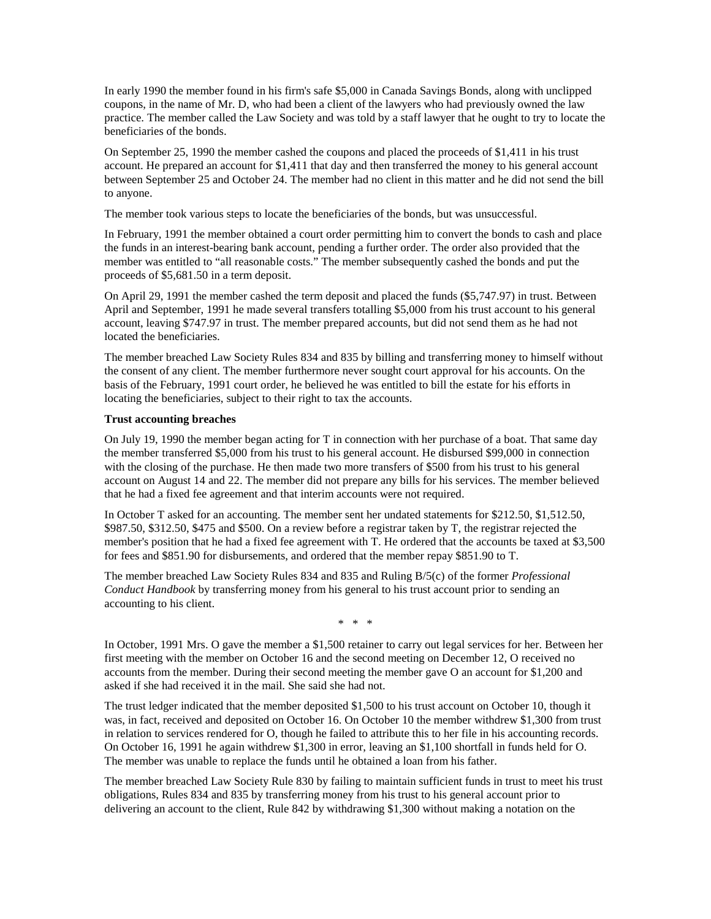In early 1990 the member found in his firm's safe \$5,000 in Canada Savings Bonds, along with unclipped coupons, in the name of Mr. D, who had been a client of the lawyers who had previously owned the law practice. The member called the Law Society and was told by a staff lawyer that he ought to try to locate the beneficiaries of the bonds.

On September 25, 1990 the member cashed the coupons and placed the proceeds of \$1,411 in his trust account. He prepared an account for \$1,411 that day and then transferred the money to his general account between September 25 and October 24. The member had no client in this matter and he did not send the bill to anyone.

The member took various steps to locate the beneficiaries of the bonds, but was unsuccessful.

In February, 1991 the member obtained a court order permitting him to convert the bonds to cash and place the funds in an interest-bearing bank account, pending a further order. The order also provided that the member was entitled to "all reasonable costs." The member subsequently cashed the bonds and put the proceeds of \$5,681.50 in a term deposit.

On April 29, 1991 the member cashed the term deposit and placed the funds (\$5,747.97) in trust. Between April and September, 1991 he made several transfers totalling \$5,000 from his trust account to his general account, leaving \$747.97 in trust. The member prepared accounts, but did not send them as he had not located the beneficiaries.

The member breached Law Society Rules 834 and 835 by billing and transferring money to himself without the consent of any client. The member furthermore never sought court approval for his accounts. On the basis of the February, 1991 court order, he believed he was entitled to bill the estate for his efforts in locating the beneficiaries, subject to their right to tax the accounts.

### **Trust accounting breaches**

On July 19, 1990 the member began acting for T in connection with her purchase of a boat. That same day the member transferred \$5,000 from his trust to his general account. He disbursed \$99,000 in connection with the closing of the purchase. He then made two more transfers of \$500 from his trust to his general account on August 14 and 22. The member did not prepare any bills for his services. The member believed that he had a fixed fee agreement and that interim accounts were not required.

In October T asked for an accounting. The member sent her undated statements for \$212.50, \$1,512.50, \$987.50, \$312.50, \$475 and \$500. On a review before a registrar taken by T, the registrar rejected the member's position that he had a fixed fee agreement with T. He ordered that the accounts be taxed at \$3,500 for fees and \$851.90 for disbursements, and ordered that the member repay \$851.90 to T.

The member breached Law Society Rules 834 and 835 and Ruling B/5(c) of the former *Professional Conduct Handbook* by transferring money from his general to his trust account prior to sending an accounting to his client.

\* \* \*

In October, 1991 Mrs. O gave the member a \$1,500 retainer to carry out legal services for her. Between her first meeting with the member on October 16 and the second meeting on December 12, O received no accounts from the member. During their second meeting the member gave O an account for \$1,200 and asked if she had received it in the mail. She said she had not.

The trust ledger indicated that the member deposited \$1,500 to his trust account on October 10, though it was, in fact, received and deposited on October 16. On October 10 the member withdrew \$1,300 from trust in relation to services rendered for O, though he failed to attribute this to her file in his accounting records. On October 16, 1991 he again withdrew \$1,300 in error, leaving an \$1,100 shortfall in funds held for O. The member was unable to replace the funds until he obtained a loan from his father.

The member breached Law Society Rule 830 by failing to maintain sufficient funds in trust to meet his trust obligations, Rules 834 and 835 by transferring money from his trust to his general account prior to delivering an account to the client, Rule 842 by withdrawing \$1,300 without making a notation on the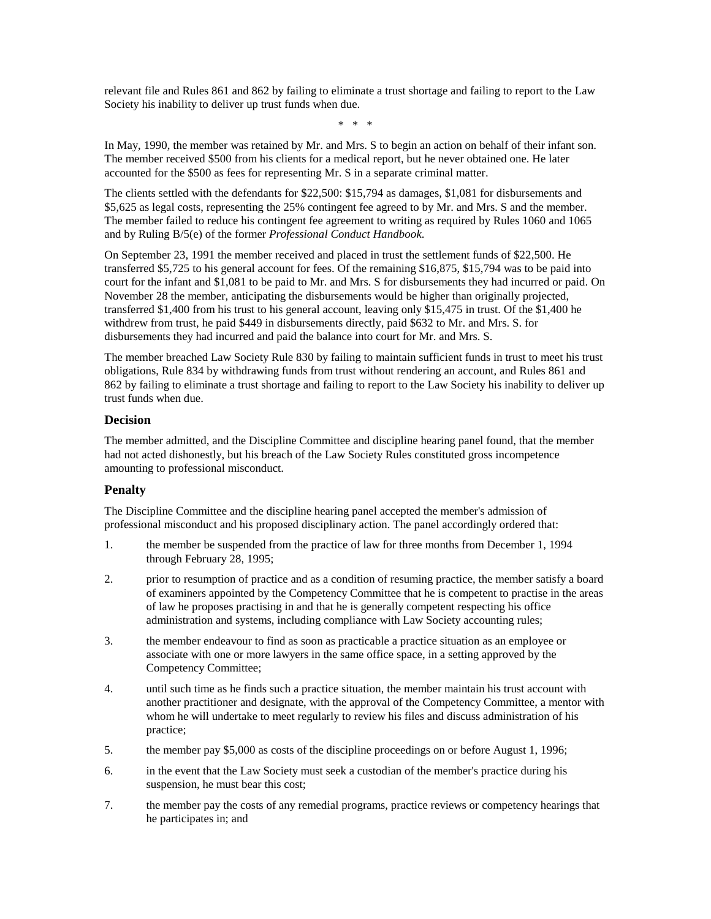relevant file and Rules 861 and 862 by failing to eliminate a trust shortage and failing to report to the Law Society his inability to deliver up trust funds when due.

\* \* \*

In May, 1990, the member was retained by Mr. and Mrs. S to begin an action on behalf of their infant son. The member received \$500 from his clients for a medical report, but he never obtained one. He later accounted for the \$500 as fees for representing Mr. S in a separate criminal matter.

The clients settled with the defendants for \$22,500: \$15,794 as damages, \$1,081 for disbursements and \$5,625 as legal costs, representing the 25% contingent fee agreed to by Mr. and Mrs. S and the member. The member failed to reduce his contingent fee agreement to writing as required by Rules 1060 and 1065 and by Ruling B/5(e) of the former *Professional Conduct Handbook*.

On September 23, 1991 the member received and placed in trust the settlement funds of \$22,500. He transferred \$5,725 to his general account for fees. Of the remaining \$16,875, \$15,794 was to be paid into court for the infant and \$1,081 to be paid to Mr. and Mrs. S for disbursements they had incurred or paid. On November 28 the member, anticipating the disbursements would be higher than originally projected, transferred \$1,400 from his trust to his general account, leaving only \$15,475 in trust. Of the \$1,400 he withdrew from trust, he paid \$449 in disbursements directly, paid \$632 to Mr. and Mrs. S. for disbursements they had incurred and paid the balance into court for Mr. and Mrs. S.

The member breached Law Society Rule 830 by failing to maintain sufficient funds in trust to meet his trust obligations, Rule 834 by withdrawing funds from trust without rendering an account, and Rules 861 and 862 by failing to eliminate a trust shortage and failing to report to the Law Society his inability to deliver up trust funds when due.

## **Decision**

The member admitted, and the Discipline Committee and discipline hearing panel found, that the member had not acted dishonestly, but his breach of the Law Society Rules constituted gross incompetence amounting to professional misconduct.

## **Penalty**

The Discipline Committee and the discipline hearing panel accepted the member's admission of professional misconduct and his proposed disciplinary action. The panel accordingly ordered that:

- 1. the member be suspended from the practice of law for three months from December 1, 1994 through February 28, 1995;
- 2. prior to resumption of practice and as a condition of resuming practice, the member satisfy a board of examiners appointed by the Competency Committee that he is competent to practise in the areas of law he proposes practising in and that he is generally competent respecting his office administration and systems, including compliance with Law Society accounting rules;
- 3. the member endeavour to find as soon as practicable a practice situation as an employee or associate with one or more lawyers in the same office space, in a setting approved by the Competency Committee;
- 4. until such time as he finds such a practice situation, the member maintain his trust account with another practitioner and designate, with the approval of the Competency Committee, a mentor with whom he will undertake to meet regularly to review his files and discuss administration of his practice;
- 5. the member pay \$5,000 as costs of the discipline proceedings on or before August 1, 1996;
- 6. in the event that the Law Society must seek a custodian of the member's practice during his suspension, he must bear this cost;
- 7. the member pay the costs of any remedial programs, practice reviews or competency hearings that he participates in; and